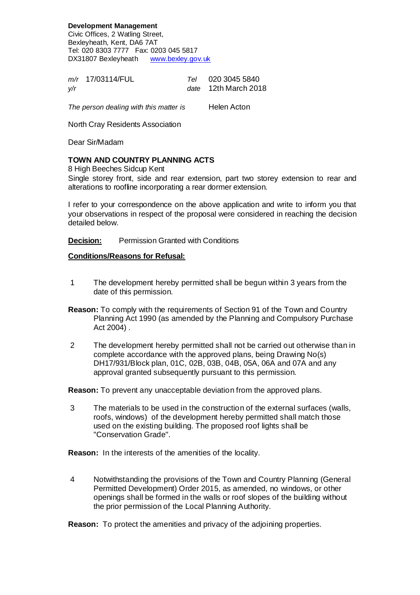**Development Management** Civic Offices, 2 Watling Street, Bexleyheath, Kent, DA6 7AT Tel: 020 8303 7777 Fax: 0203 045 5817 DX31807 Bexleyheath www.bexley.gov.uk

m/r 17/03114/FUL Tel 020 3045 5840 y/r date 12th March 2018

The person dealing with this matter is Helen Acton

North Cray Residents Association

Dear Sir/Madam

## **TOWN AND COUNTRY PLANNING ACTS**

8 High Beeches Sidcup Kent

Single storey front, side and rear extension, part two storey extension to rear and alterations to roofline incorporating a rear dormer extension.

I refer to your correspondence on the above application and write to inform you that your observations in respect of the proposal were considered in reaching the decision detailed below.

**Decision:** Permission Granted with Conditions

## **Conditions/Reasons for Refusal:**

- 1 The development hereby permitted shall be begun within 3 years from the date of this permission.
- **Reason:** To comply with the requirements of Section 91 of the Town and Country Planning Act 1990 (as amended by the Planning and Compulsory Purchase Act 2004) .
- 2 The development hereby permitted shall not be carried out otherwise than in complete accordance with the approved plans, being Drawing No(s) DH17/931/Block plan, 01C, 02B, 03B, 04B, 05A, 06A and 07A and any approval granted subsequently pursuant to this permission.

**Reason:** To prevent any unacceptable deviation from the approved plans.

 3 The materials to be used in the construction of the external surfaces (walls, roofs, windows) of the development hereby permitted shall match those used on the existing building. The proposed roof lights shall be "Conservation Grade".

**Reason:** In the interests of the amenities of the locality.

 4 Notwithstanding the provisions of the Town and Country Planning (General Permitted Development) Order 2015, as amended, no windows, or other openings shall be formed in the walls or roof slopes of the building without the prior permission of the Local Planning Authority.

**Reason:** To protect the amenities and privacy of the adjoining properties.